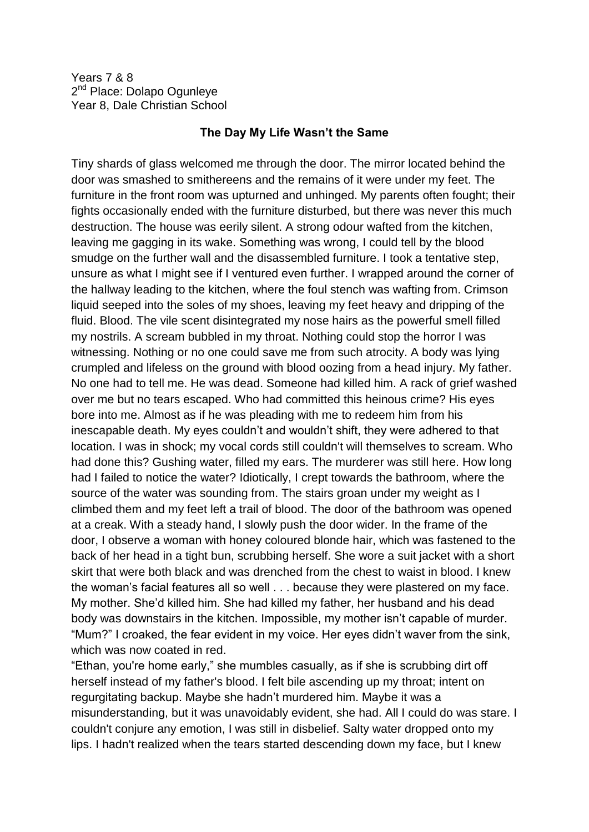Years 7 & 8 2<sup>nd</sup> Place: Dolapo Ogunleye Year 8, Dale Christian School

## **The Day My Life Wasn't the Same**

Tiny shards of glass welcomed me through the door. The mirror located behind the door was smashed to smithereens and the remains of it were under my feet. The furniture in the front room was upturned and unhinged. My parents often fought; their fights occasionally ended with the furniture disturbed, but there was never this much destruction. The house was eerily silent. A strong odour wafted from the kitchen, leaving me gagging in its wake. Something was wrong, I could tell by the blood smudge on the further wall and the disassembled furniture. I took a tentative step, unsure as what I might see if I ventured even further. I wrapped around the corner of the hallway leading to the kitchen, where the foul stench was wafting from. Crimson liquid seeped into the soles of my shoes, leaving my feet heavy and dripping of the fluid. Blood. The vile scent disintegrated my nose hairs as the powerful smell filled my nostrils. A scream bubbled in my throat. Nothing could stop the horror I was witnessing. Nothing or no one could save me from such atrocity. A body was lying crumpled and lifeless on the ground with blood oozing from a head injury. My father. No one had to tell me. He was dead. Someone had killed him. A rack of grief washed over me but no tears escaped. Who had committed this heinous crime? His eyes bore into me. Almost as if he was pleading with me to redeem him from his inescapable death. My eyes couldn't and wouldn't shift, they were adhered to that location. I was in shock; my vocal cords still couldn't will themselves to scream. Who had done this? Gushing water, filled my ears. The murderer was still here. How long had I failed to notice the water? Idiotically, I crept towards the bathroom, where the source of the water was sounding from. The stairs groan under my weight as I climbed them and my feet left a trail of blood. The door of the bathroom was opened at a creak. With a steady hand, I slowly push the door wider. In the frame of the door, I observe a woman with honey coloured blonde hair, which was fastened to the back of her head in a tight bun, scrubbing herself. She wore a suit jacket with a short skirt that were both black and was drenched from the chest to waist in blood. I knew the woman's facial features all so well . . . because they were plastered on my face. My mother. She'd killed him. She had killed my father, her husband and his dead body was downstairs in the kitchen. Impossible, my mother isn't capable of murder. "Mum?" I croaked, the fear evident in my voice. Her eyes didn't waver from the sink, which was now coated in red.

"Ethan, you're home early," she mumbles casually, as if she is scrubbing dirt off herself instead of my father's blood. I felt bile ascending up my throat; intent on regurgitating backup. Maybe she hadn't murdered him. Maybe it was a misunderstanding, but it was unavoidably evident, she had. All I could do was stare. I couldn't conjure any emotion, I was still in disbelief. Salty water dropped onto my lips. I hadn't realized when the tears started descending down my face, but I knew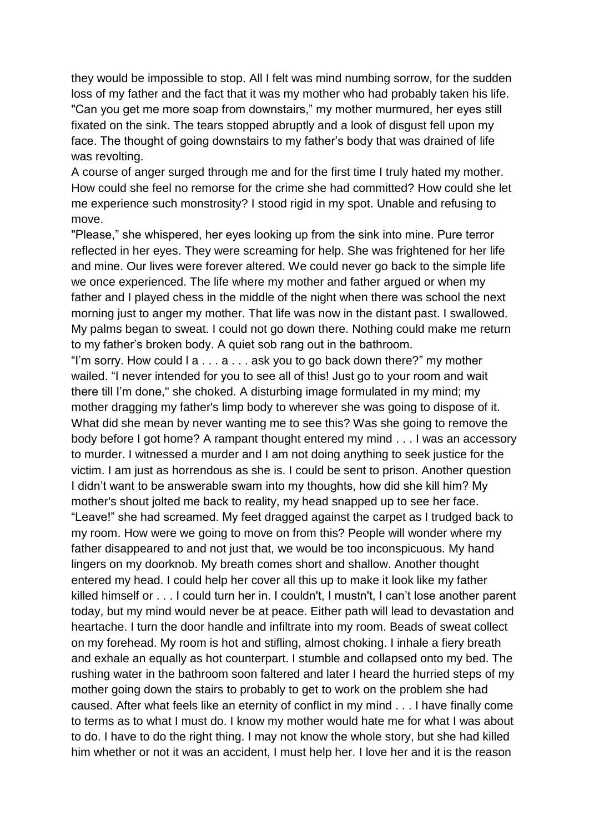they would be impossible to stop. All I felt was mind numbing sorrow, for the sudden loss of my father and the fact that it was my mother who had probably taken his life. "Can you get me more soap from downstairs," my mother murmured, her eyes still fixated on the sink. The tears stopped abruptly and a look of disgust fell upon my face. The thought of going downstairs to my father's body that was drained of life was revolting.

A course of anger surged through me and for the first time I truly hated my mother. How could she feel no remorse for the crime she had committed? How could she let me experience such monstrosity? I stood rigid in my spot. Unable and refusing to move.

"Please," she whispered, her eyes looking up from the sink into mine. Pure terror reflected in her eyes. They were screaming for help. She was frightened for her life and mine. Our lives were forever altered. We could never go back to the simple life we once experienced. The life where my mother and father argued or when my father and I played chess in the middle of the night when there was school the next morning just to anger my mother. That life was now in the distant past. I swallowed. My palms began to sweat. I could not go down there. Nothing could make me return to my father's broken body. A quiet sob rang out in the bathroom.

"I'm sorry. How could  $1a...a...$  ask you to go back down there?" my mother wailed. "I never intended for you to see all of this! Just go to your room and wait there till I'm done," she choked. A disturbing image formulated in my mind; my mother dragging my father's limp body to wherever she was going to dispose of it. What did she mean by never wanting me to see this? Was she going to remove the body before I got home? A rampant thought entered my mind . . . I was an accessory to murder. I witnessed a murder and I am not doing anything to seek justice for the victim. I am just as horrendous as she is. I could be sent to prison. Another question I didn't want to be answerable swam into my thoughts, how did she kill him? My mother's shout jolted me back to reality, my head snapped up to see her face. "Leave!" she had screamed. My feet dragged against the carpet as I trudged back to my room. How were we going to move on from this? People will wonder where my father disappeared to and not just that, we would be too inconspicuous. My hand lingers on my doorknob. My breath comes short and shallow. Another thought entered my head. I could help her cover all this up to make it look like my father killed himself or . . . I could turn her in. I couldn't, I mustn't, I can't lose another parent today, but my mind would never be at peace. Either path will lead to devastation and heartache. I turn the door handle and infiltrate into my room. Beads of sweat collect on my forehead. My room is hot and stifling, almost choking. I inhale a fiery breath and exhale an equally as hot counterpart. I stumble and collapsed onto my bed. The rushing water in the bathroom soon faltered and later I heard the hurried steps of my mother going down the stairs to probably to get to work on the problem she had caused. After what feels like an eternity of conflict in my mind . . . I have finally come to terms as to what I must do. I know my mother would hate me for what I was about to do. I have to do the right thing. I may not know the whole story, but she had killed him whether or not it was an accident, I must help her. I love her and it is the reason